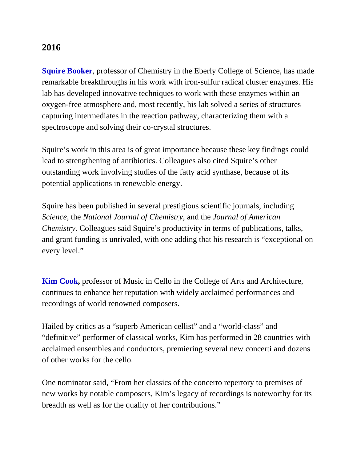## **2016**

**Squire Booker**, professor of Chemistry in the Eberly College of Science, has made remarkable breakthroughs in his work with iron-sulfur radical cluster enzymes. His lab has developed innovative techniques to work with these enzymes within an oxygen-free atmosphere and, most recently, his lab solved a series of structures capturing intermediates in the reaction pathway, characterizing them with a spectroscope and solving their co-crystal structures.

Squire's work in this area is of great importance because these key findings could lead to strengthening of antibiotics. Colleagues also cited Squire's other outstanding work involving studies of the fatty acid synthase, because of its potential applications in renewable energy.

Squire has been published in several prestigious scientific journals, including *Science,* the *National Journal of Chemistry*, and the *Journal of American Chemistry.* Colleagues said Squire's productivity in terms of publications, talks, and grant funding is unrivaled, with one adding that his research is "exceptional on every level."

**Kim Cook,** professor of Music in Cello in the College of Arts and Architecture, continues to enhance her reputation with widely acclaimed performances and recordings of world renowned composers.

Hailed by critics as a "superb American cellist" and a "world-class" and "definitive" performer of classical works, Kim has performed in 28 countries with acclaimed ensembles and conductors, premiering several new concerti and dozens of other works for the cello.

One nominator said, "From her classics of the concerto repertory to premises of new works by notable composers, Kim's legacy of recordings is noteworthy for its breadth as well as for the quality of her contributions."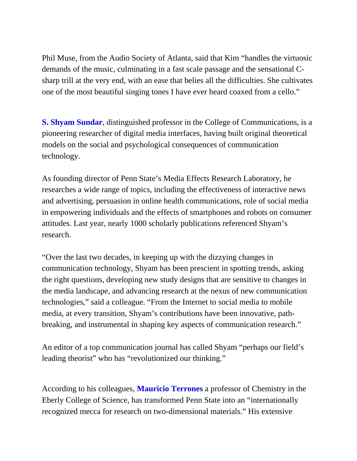Phil Muse, from the Audio Society of Atlanta, said that Kim "handles the virtuosic demands of the music, culminating in a fast scale passage and the sensational Csharp trill at the very end, with an ease that belies all the difficulties. She cultivates one of the most beautiful singing tones I have ever heard coaxed from a cello."

**S. Shyam Sundar**, distinguished professor in the College of Communications, is a pioneering researcher of digital media interfaces, having built original theoretical models on the social and psychological consequences of communication technology.

As founding director of Penn State's Media Effects Research Laboratory, he researches a wide range of topics, including the effectiveness of interactive news and advertising, persuasion in online health communications, role of social media in empowering individuals and the effects of smartphones and robots on consumer attitudes. Last year, nearly 1000 scholarly publications referenced Shyam's research.

"Over the last two decades, in keeping up with the dizzying changes in communication technology, Shyam has been prescient in spotting trends, asking the right questions, developing new study designs that are sensitive to changes in the media landscape, and advancing research at the nexus of new communication technologies," said a colleague. "From the Internet to social media to mobile media, at every transition, Shyam's contributions have been innovative, pathbreaking, and instrumental in shaping key aspects of communication research."

An editor of a top communication journal has called Shyam "perhaps our field's leading theorist" who has "revolutionized our thinking."

According to his colleagues, **Mauricio Terrones** a professor of Chemistry in the Eberly College of Science, has transformed Penn State into an "internationally recognized mecca for research on two-dimensional materials." His extensive